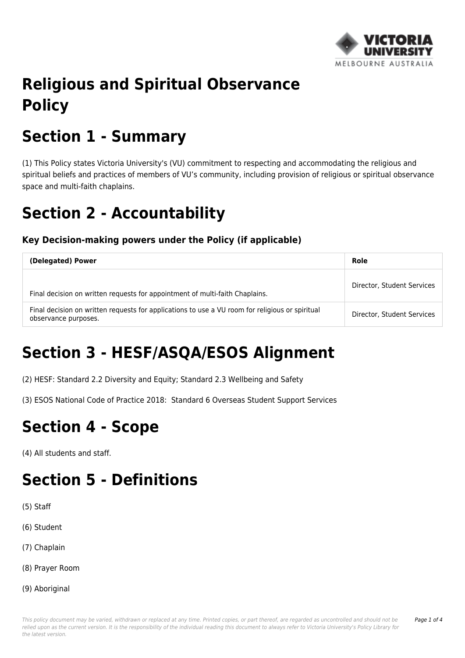

# **Religious and Spiritual Observance Policy**

## **Section 1 - Summary**

(1) This Policy states Victoria University's (VU) commitment to respecting and accommodating the religious and spiritual beliefs and practices of members of VU's community, including provision of religious or spiritual observance space and multi-faith chaplains.

### **Section 2 - Accountability**

#### **Key Decision-making powers under the Policy (if applicable)**

| (Delegated) Power                                                                                                       | Role                       |
|-------------------------------------------------------------------------------------------------------------------------|----------------------------|
| Final decision on written requests for appointment of multi-faith Chaplains.                                            | Director, Student Services |
| Final decision on written requests for applications to use a VU room for religious or spiritual<br>observance purposes. | Director, Student Services |

# **Section 3 - HESF/ASQA/ESOS Alignment**

(2) HESF: Standard 2.2 Diversity and Equity; Standard 2.3 Wellbeing and Safety

(3) ESOS National Code of Practice 2018: Standard 6 Overseas Student Support Services

### **Section 4 - Scope**

(4) All students and staff.

### **Section 5 - Definitions**

- (5) Staff
- (6) Student
- (7) Chaplain
- (8) Prayer Room
- (9) Aboriginal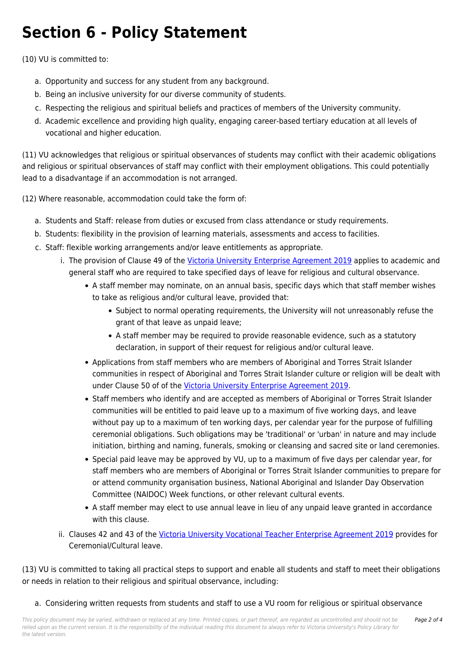## **Section 6 - Policy Statement**

(10) VU is committed to:

- a. Opportunity and success for any student from any background.
- b. Being an inclusive university for our diverse community of students.
- c. Respecting the religious and spiritual beliefs and practices of members of the University community.
- d. Academic excellence and providing high quality, engaging career-based tertiary education at all levels of vocational and higher education.

(11) VU acknowledges that religious or spiritual observances of students may conflict with their academic obligations and religious or spiritual observances of staff may conflict with their employment obligations. This could potentially lead to a disadvantage if an accommodation is not arranged.

(12) Where reasonable, accommodation could take the form of:

- a. Students and Staff: release from duties or excused from class attendance or study requirements.
- b. Students: flexibility in the provision of learning materials, assessments and access to facilities.
- c. Staff: flexible working arrangements and/or leave entitlements as appropriate.
	- i. The provision of Clause 49 of the [Victoria University Enterprise Agreement 2019](http://policy.vu.edu.au/download.php?id=815&version=1&associated) applies to academic and general staff who are required to take specified days of leave for religious and cultural observance.
		- A staff member may nominate, on an annual basis, specific days which that staff member wishes to take as religious and/or cultural leave, provided that:
			- Subject to normal operating requirements, the University will not unreasonably refuse the grant of that leave as unpaid leave;
			- A staff member may be required to provide reasonable evidence, such as a statutory declaration, in support of their request for religious and/or cultural leave.
		- Applications from staff members who are members of Aboriginal and Torres Strait Islander communities in respect of Aboriginal and Torres Strait Islander culture or religion will be dealt with under Clause 50 of of the [Victoria University Enterprise Agreement 2019](http://policy.vu.edu.au/download.php?id=815&version=1&associated).
		- Staff members who identify and are accepted as members of Aboriginal or Torres Strait Islander communities will be entitled to paid leave up to a maximum of five working days, and leave without pay up to a maximum of ten working days, per calendar year for the purpose of fulfilling ceremonial obligations. Such obligations may be 'traditional' or 'urban' in nature and may include initiation, birthing and naming, funerals, smoking or cleansing and sacred site or land ceremonies.
		- Special paid leave may be approved by VU, up to a maximum of five days per calendar year, for staff members who are members of Aboriginal or Torres Strait Islander communities to prepare for or attend community organisation business, National Aboriginal and Islander Day Observation Committee (NAIDOC) Week functions, or other relevant cultural events.
		- A staff member may elect to use annual leave in lieu of any unpaid leave granted in accordance with this clause.
	- ii. Clauses 42 and 43 of the [Victoria University Vocational Teacher Enterprise Agreement 2019](http://policy.vu.edu.au/download.php?id=180&version=5&associated) provides for Ceremonial/Cultural leave.

(13) VU is committed to taking all practical steps to support and enable all students and staff to meet their obligations or needs in relation to their religious and spiritual observance, including:

a. Considering written requests from students and staff to use a VU room for religious or spiritual observance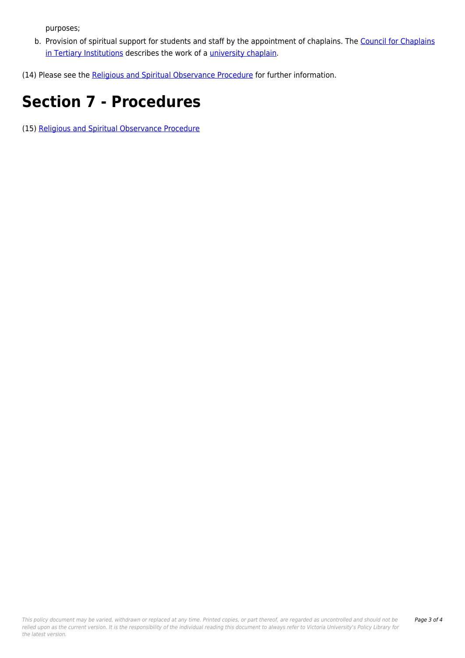purposes;

- b. Provision of spiritual support for students and staff by the appointment of chaplains. The [Council for Chaplains](http://policy.vu.edu.au/download.php?id=333&version=3&associated) [in Tertiary Institutions](http://policy.vu.edu.au/download.php?id=333&version=3&associated) describes the work of a [university chaplain](https://www.cctivictoria.org/our-chaplains).
- (14) Please see the [Religious and Spiritual Observance Procedure](https://policy.vu.edu.au/document/view.php?id=403) for further information.

## **Section 7 - Procedures**

(15) [Religious and Spiritual Observance Procedure](https://policy.vu.edu.au/document/view.php?id=403)